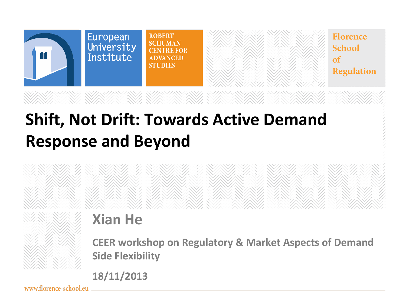

# **Shift, Not Drift: Towards Active Demand Response and Beyond**

### **Xian He**

**CEER workshop on Regulatory & Market Aspects of Demand Side Flexibility**

**18/11/2013**

www.florence-school.eu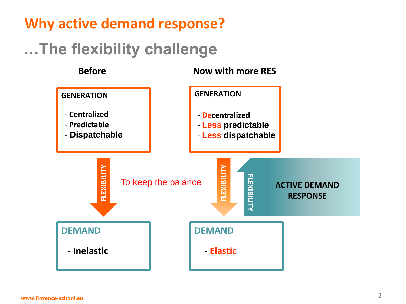#### **Why active demand response?**

### **…The flexibility challenge**

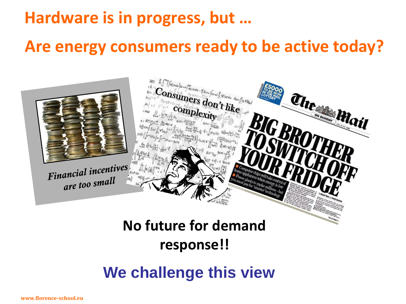# **Hardware is in progress, but …**

#### **Are energy consumers ready to be active today?**



### **No future for demand response!!**

#### **We challenge this view**

**www.florence-school.eu**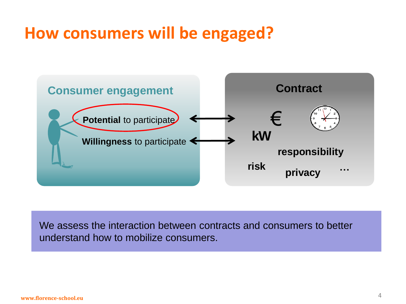## **How consumers will be engaged?**



We assess the interaction between contracts and consumers to better understand how to mobilize consumers.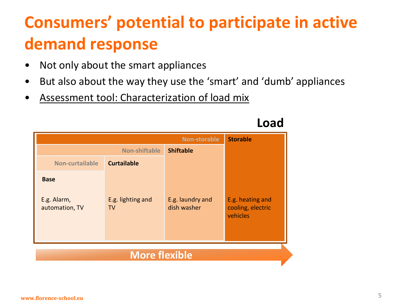# **Consumers' potential to participate in active demand response**

- Not only about the smart appliances
- But also about the way they use the 'smart' and 'dumb' appliances
- Assessment tool: Characterization of load mix



#### **Load**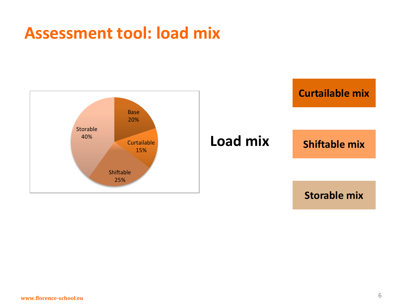### **Assessment tool: load mix**

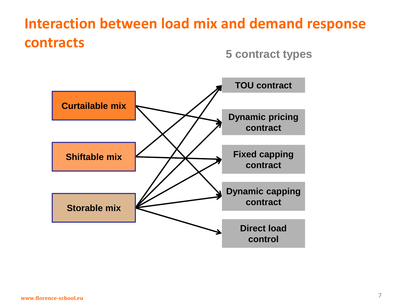### **Interaction between load mix and demand response contracts**

**5 contract types**

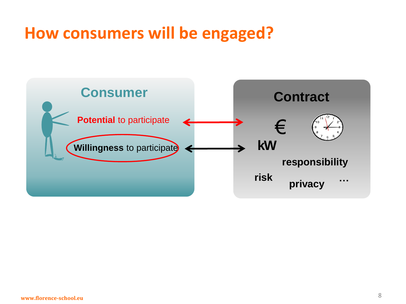# **How consumers will be engaged?**

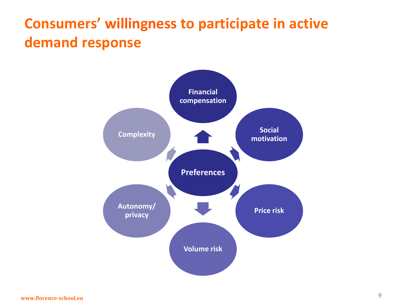### **Consumers' willingness to participate in active demand response**

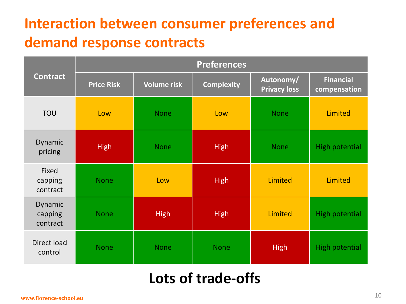### **Interaction between consumer preferences and demand response contracts**

| <b>Contract</b>                | <b>Preferences</b> |                    |                   |                                  |                                  |  |
|--------------------------------|--------------------|--------------------|-------------------|----------------------------------|----------------------------------|--|
|                                | <b>Price Risk</b>  | <b>Volume risk</b> | <b>Complexity</b> | Autonomy/<br><b>Privacy loss</b> | <b>Financial</b><br>compensation |  |
| <b>TOU</b>                     | Low                | <b>None</b>        | Low               | <b>None</b>                      | <b>Limited</b>                   |  |
| Dynamic<br>pricing             | <b>High</b>        | <b>None</b>        | <b>High</b>       | <b>None</b>                      | <b>High potential</b>            |  |
| Fixed<br>capping<br>contract   | <b>None</b>        | Low                | <b>High</b>       | Limited                          | Limited                          |  |
| Dynamic<br>capping<br>contract | <b>None</b>        | <b>High</b>        | <b>High</b>       | <b>Limited</b>                   | <b>High potential</b>            |  |
| Direct load<br>control         | <b>None</b>        | <b>None</b>        | <b>None</b>       | <b>High</b>                      | <b>High potential</b>            |  |

#### **Lots of trade-offs**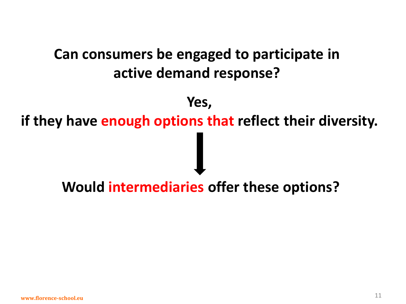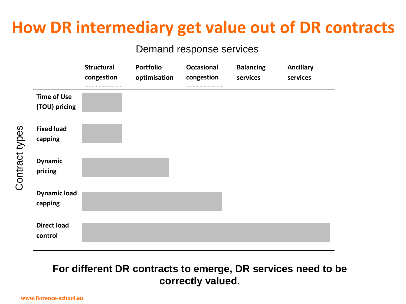# **How DR intermediary get value out of DR contracts**

#### Demand response services

|                                     | <b>Structural</b><br>congestion | <b>Portfolio</b><br>optimisation | <b>Occasional</b><br>congestion | <b>Balancing</b><br>services | <b>Ancillary</b><br>services |
|-------------------------------------|---------------------------------|----------------------------------|---------------------------------|------------------------------|------------------------------|
| <b>Time of Use</b><br>(TOU) pricing |                                 |                                  |                                 |                              |                              |
| <b>Fixed load</b><br>capping        |                                 |                                  |                                 |                              |                              |
| <b>Dynamic</b><br>pricing           |                                 |                                  |                                 |                              |                              |
| <b>Dynamic load</b><br>capping      |                                 |                                  |                                 |                              |                              |
| <b>Direct load</b><br>control       |                                 |                                  |                                 |                              |                              |

#### **For different DR contracts to emerge, DR services need to be correctly valued.**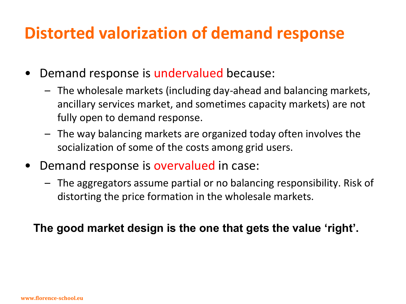# **Distorted valorization of demand response**

- Demand response is undervalued because:
	- The wholesale markets (including day-ahead and balancing markets, ancillary services market, and sometimes capacity markets) are not fully open to demand response.
	- The way balancing markets are organized today often involves the socialization of some of the costs among grid users.
- Demand response is overvalued in case:
	- The aggregators assume partial or no balancing responsibility. Risk of distorting the price formation in the wholesale markets.

#### **The good market design is the one that gets the value 'right'.**